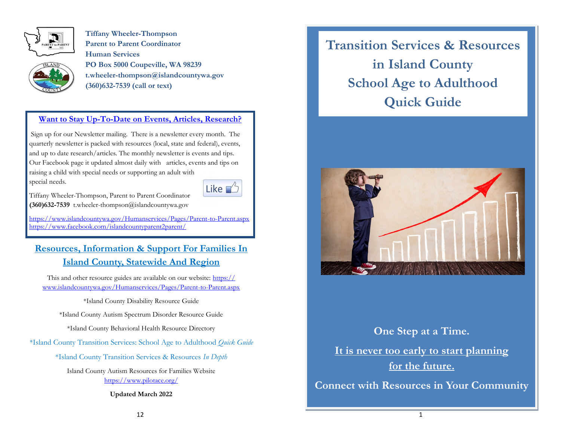

**Tiffany Wheeler-Thompson Parent to Parent Coordinator Human Services PO Box 5000 Coupeville, WA 98239 t.wheeler-thompson@islandcountywa.gov (360)632-7539 (call or text)**

#### **Want to Stay Up-To-Date on Events, Articles, Research?**

Sign up for our Newsletter mailing. There is a newsletter every month. The quarterly newsletter is packed with resources (local, state and federal), events, and up to date research/articles. The monthly newsletter is events and tips. Our Facebook page it updated almost daily with articles, events and tips on raising a child with special needs or supporting an adult with special needs.



Tiffany Wheeler-Thompson, Parent to Parent Coordinator **(360)632-7539** t.wheeler-thompson@islandcountywa.gov

<https://www.islandcountywa.gov/Humanservices/Pages/Parent-to-Parent.aspx> <https://www.facebook.com/islandcountyparent2parent/>

### **Resources, Information & Support For Families In Island County, Statewide And Region**

This and other resource guides are available on our website: [https://](https://www.islandcountywa.gov/Humanservices/Pages/Parent-to-Parent.aspx) [www.islandcountywa.gov/Humanservices/Pages/Parent-to-Parent.aspx](https://www.islandcountywa.gov/Humanservices/Pages/Parent-to-Parent.aspx)

\*Island County Disability Resource Guide

\*Island County Autism Spectrum Disorder Resource Guide

\*Island County Behavioral Health Resource Directory

\*Island County Transition Services: School Age to Adulthood *Quick Guide*

\*Island County Transition Services & Resources *In Depth*

Island County Autism Resources for Families Website <https://www.pilotace.org/>

**Updated March 2022**

**Transition Services & Resources in Island County School Age to Adulthood Quick Guide**



# **One Step at a Time. It is never too early to start planning for the future.**

**Connect with Resources in Your Community**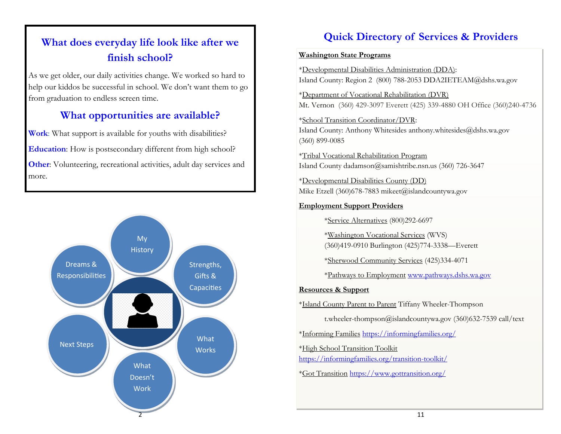# **What does everyday life look like after we finish school?**

As we get older, our daily activities change. We worked so hard to help our kiddos be successful in school. We don't want them to go from graduation to endless screen time.

# **What opportunities are available?**

**Work**: What support is available for youths with disabilities? **Education**: How is postsecondary different from high school? **Other:** Volunteering, recreational activities, adult day services and more.



# **Quick Directory of Services & Providers**

#### **Washington State Programs**

\*Developmental Disabilities Administration (DDA): Island County: Region 2 (800) 788-2053 DDA2IETEAM@dshs.wa.gov

\*Department of Vocational Rehabilitation (DVR) Mt. Vernon (360) 429-3097 Everett (425) 339-4880 OH Office (360)240-4736

\*School Transition Coordinator/DVR: Island County: Anthony Whitesides anthony.whitesides@dshs.wa.gov (360) 899-0085

\*Tribal Vocational Rehabilitation Program Island County dadamson@samishtribe.nsn.us (360) 726-3647

\*Developmental Disabilities County (DD) Mike Etzell (360)678-7883 mikeet@islandcountywa.gov

#### **Employment Support Providers**

\*Service Alternatives (800)292-6697

\*Washington Vocational Services (WVS) (360)419-0910 Burlington (425)774-3338—Everett

\*Sherwood Community Services (425)334-4071

\*Pathways to Employment [www.pathways.dshs.wa.gov](http://www.pathways.dshs.wa.gov) 

#### **Resources & Support**

\*Island County Parent to Parent Tiffany Wheeler-Thompson

t.wheeler-thompson@islandcountywa.gov (360)632-7539 call/text

\*Informing Families <https://informingfamilies.org/>

\*High School Transition Toolkit

<https://informingfamilies.org/transition-toolkit/>

\*Got Transition <https://www.gottransition.org/>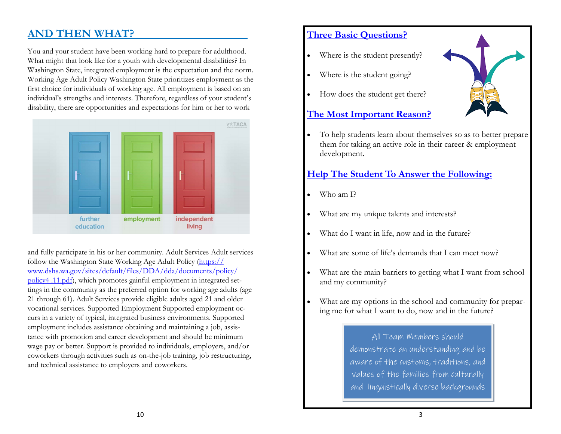## **AND THEN WHAT?**

You and your student have been working hard to prepare for adulthood. What might that look like for a youth with developmental disabilities? In Washington State, integrated employment is the expectation and the norm. Working Age Adult Policy Washington State prioritizes employment as the first choice for individuals of working age. All employment is based on an individual's strengths and interests. Therefore, regardless of your student's disability, there are opportunities and expectations for him or her to work



and fully participate in his or her community. Adult Services Adult services follow the Washington State Working Age Adult Policy ([https://](https://www.dshs.wa.gov/sites/default/files/DDA/dda/documents/policy/policy4%20.11.pdf) [www.dshs.wa.gov/sites/default/files/DDA/dda/documents/policy/](https://www.dshs.wa.gov/sites/default/files/DDA/dda/documents/policy/policy4%20.11.pdf) [policy4 .11.pdf\)](https://www.dshs.wa.gov/sites/default/files/DDA/dda/documents/policy/policy4%20.11.pdf), which promotes gainful employment in integrated settings in the community as the preferred option for working age adults (age 21 through 61). Adult Services provide eligible adults aged 21 and older vocational services. Supported Employment Supported employment occurs in a variety of typical, integrated business environments. Supported employment includes assistance obtaining and maintaining a job, assistance with promotion and career development and should be minimum wage pay or better. Support is provided to individuals, employers, and/or coworkers through activities such as on-the-job training, job restructuring, and technical assistance to employers and coworkers.

#### **Three Basic Questions?**

- Where is the student presently?
- Where is the student going?
- How does the student get there?

#### **The Most Important Reason?**

• To help students learn about themselves so as to better prepare them for taking an active role in their career & employment development.

#### **Help The Student To Answer the Following:**

- Who am I?
- What are my unique talents and interests?
- What do I want in life, now and in the future?
- What are some of life's demands that I can meet now?
- What are the main barriers to getting what I want from school and my community?
- What are my options in the school and community for preparing me for what I want to do, now and in the future?

All Team Members should demonstrate an understanding and be aware of the customs, traditions, and values of the families from culturally and linguistically diverse backgrounds

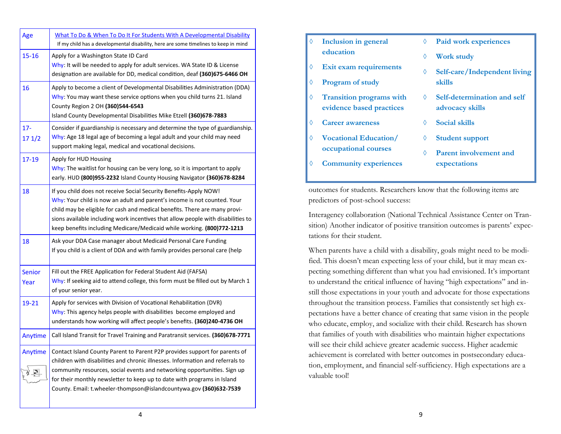| Age                   | What To Do & When To Do It For Students With A Developmental Disability<br>If my child has a developmental disability, here are some timelines to keep in mind                                                                                                                                                                                                                            |  |  |
|-----------------------|-------------------------------------------------------------------------------------------------------------------------------------------------------------------------------------------------------------------------------------------------------------------------------------------------------------------------------------------------------------------------------------------|--|--|
| $15 - 16$             | Apply for a Washington State ID Card<br>Why: It will be needed to apply for adult services. WA State ID & License<br>designation are available for DD, medical condition, deaf (360)675-6466 OH                                                                                                                                                                                           |  |  |
| 16                    | Apply to become a client of Developmental Disabilities Administration (DDA)<br>Why: You may want these service options when you child turns 21. Island<br>County Region 2 OH (360)544-6543<br>Island County Developmental Disabilities Mike Etzell (360)678-7883                                                                                                                          |  |  |
| $17 -$<br>17 1/2      | Consider if guardianship is necessary and determine the type of guardianship.<br>Why: Age 18 legal age of becoming a legal adult and your child may need<br>support making legal, medical and vocational decisions.                                                                                                                                                                       |  |  |
| 17-19                 | Apply for HUD Housing<br>Why: The waitlist for housing can be very long, so it is important to apply<br>early. HUD (800)955-2232 Island County Housing Navigator (360)678-8284                                                                                                                                                                                                            |  |  |
| 18                    | If you child does not receive Social Security Benefits-Apply NOW!<br>Why: Your child is now an adult and parent's income is not counted. Your<br>child may be eligible for cash and medical benefits. There are many provi-<br>sions available including work incentives that allow people with disabilities to<br>keep benefits including Medicare/Medicaid while working. (800)772-1213 |  |  |
| 18                    | Ask your DDA Case manager about Medicaid Personal Care Funding<br>If you child is a client of DDA and with family provides personal care (help                                                                                                                                                                                                                                            |  |  |
| <b>Senior</b><br>Year | Fill out the FREE Application for Federal Student Aid (FAFSA)<br>Why: If seeking aid to attend college, this form must be filled out by March 1<br>of your senior year.                                                                                                                                                                                                                   |  |  |
| 19-21                 | Apply for services with Division of Vocational Rehabilitation (DVR)<br>Why: This agency helps people with disabilities become employed and<br>understands how working will affect people's benefits. (360)240-4736 OH                                                                                                                                                                     |  |  |
| Anytime               | Call Island Transit for Travel Training and Paratransit services. (360)678-7771                                                                                                                                                                                                                                                                                                           |  |  |
| Anytime               | Contact Island County Parent to Parent P2P provides support for parents of<br>children with disabilities and chronic illnesses. Information and referrals to<br>community resources, social events and networking opportunities. Sign up<br>for their monthly newsletter to keep up to date with programs in Island<br>County. Email: t.wheeler-thompson@islandcountywa.gov (360)632-7539 |  |  |

| ♦ | Inclusion in general                                 | ♦ | <b>Paid work experiences</b>  |
|---|------------------------------------------------------|---|-------------------------------|
|   | education                                            | ♦ | <b>Work study</b>             |
| ♦ | Exit exam requirements                               | ♦ | Self-care/Independent living  |
| ♦ | <b>Program of study</b>                              |   | skills                        |
| ♦ | <b>Transition programs with</b>                      | ♦ | Self-determination and self   |
|   | evidence based practices                             |   | advocacy skills               |
| ♦ | <b>Career awareness</b>                              | ♦ | Social skills                 |
| ♦ | <b>Vocational Education/</b><br>occupational courses | ♦ | <b>Student support</b>        |
|   |                                                      | ♦ | <b>Parent involvement and</b> |
| ♦ | <b>Community experiences</b>                         |   | expectations                  |
|   |                                                      |   |                               |

outcomes for students. Researchers know that the following items are predictors of post-school success:

Interagency collaboration (National Technical Assistance Center on Transition) Another indicator of positive transition outcomes is parents' expectations for their student.

When parents have a child with a disability, goals might need to be modified. This doesn't mean expecting less of your child, but it may mean expecting something different than what you had envisioned. It's important to understand the critical influence of having "high expectations" and instill those expectations in your youth and advocate for those expectations throughout the transition process. Families that consistently set high expectations have a better chance of creating that same vision in the people who educate, employ, and socialize with their child. Research has shown that families of youth with disabilities who maintain higher expectations will see their child achieve greater academic success. Higher academic achievement is correlated with better outcomes in postsecondary education, employment, and financial self-sufficiency. High expectations are a valuable tool!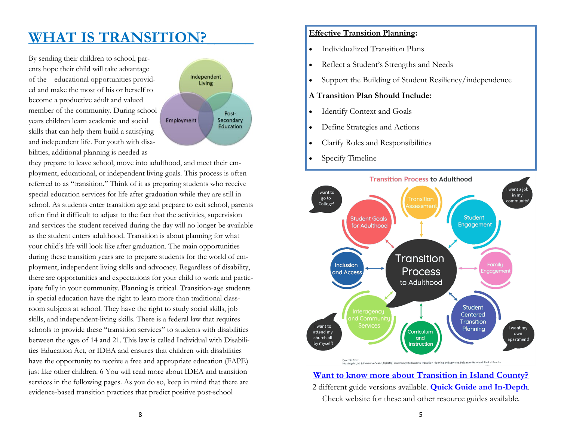# **WHAT IS TRANSITION?\_\_\_\_\_\_**

By sending their children to school, parents hope their child will take advantage of the educational opportunities provided and make the most of his or herself to become a productive adult and valued member of the community. During school years children learn academic and social skills that can help them build a satisfying and independent life. For youth with disabilities, additional planning is needed as



they prepare to leave school, move into adulthood, and meet their employment, educational, or independent living goals. This process is often referred to as "transition." Think of it as preparing students who receive special education services for life after graduation while they are still in school. As students enter transition age and prepare to exit school, parents often find it difficult to adjust to the fact that the activities, supervision and services the student received during the day will no longer be available as the student enters adulthood. Transition is about planning for what your child's life will look like after graduation. The main opportunities during these transition years are to prepare students for the world of employment, independent living skills and advocacy. Regardless of disability, there are opportunities and expectations for your child to work and participate fully in your community. Planning is critical. Transition-age students in special education have the right to learn more than traditional classroom subjects at school. They have the right to study social skills, job skills, and independent-living skills. There is a federal law that requires schools to provide these "transition services" to students with disabilities between the ages of 14 and 21. This law is called Individual with Disabilities Education Act, or IDEA and ensures that children with disabilities have the opportunity to receive a free and appropriate education (FAPE) just like other children. 6 You will read more about IDEA and transition services in the following pages. As you do so, keep in mind that there are evidence-based transition practices that predict positive post-school

#### **Effective Transition Planning:**

- Individualized Transition Plans
- Reflect a Student's Strengths and Needs
- Support the Building of Student Resiliency/independence

#### **A Transition Plan Should Include:**

- Identify Context and Goals
- Define Strategies and Actions
- Clarify Roles and Responsibilities
- Specify Timeline



**Want to know more about Transition in Island County?** 2 different guide versions available. **Quick Guide and In-Depth**. Check website for these and other resource guides available.